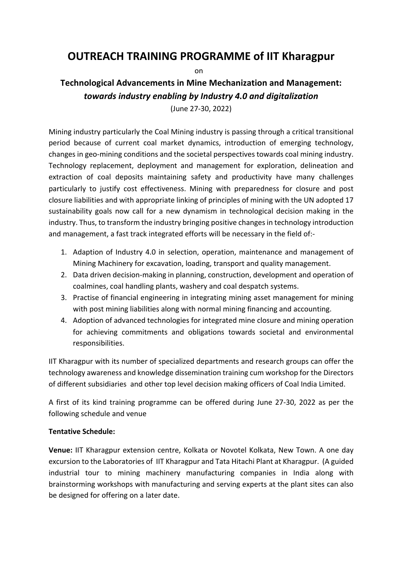## **OUTREACH TRAINING PROGRAMME of IIT Kharagpur**

on

## **Technological Advancements in Mine Mechanization and Management:** *towards industry enabling by Industry 4.0 and digitalization*

(June 27-30, 2022)

Mining industry particularly the Coal Mining industry is passing through a critical transitional period because of current coal market dynamics, introduction of emerging technology, changes in geo-mining conditions and the societal perspectives towards coal mining industry. Technology replacement, deployment and management for exploration, delineation and extraction of coal deposits maintaining safety and productivity have many challenges particularly to justify cost effectiveness. Mining with preparedness for closure and post closure liabilities and with appropriate linking of principles of mining with the UN adopted 17 sustainability goals now call for a new dynamism in technological decision making in the industry. Thus, to transform the industry bringing positive changes in technology introduction and management, a fast track integrated efforts will be necessary in the field of:-

- 1. Adaption of Industry 4.0 in selection, operation, maintenance and management of Mining Machinery for excavation, loading, transport and quality management.
- 2. Data driven decision-making in planning, construction, development and operation of coalmines, coal handling plants, washery and coal despatch systems.
- 3. Practise of financial engineering in integrating mining asset management for mining with post mining liabilities along with normal mining financing and accounting.
- 4. Adoption of advanced technologies for integrated mine closure and mining operation for achieving commitments and obligations towards societal and environmental responsibilities.

IIT Kharagpur with its number of specialized departments and research groups can offer the technology awareness and knowledge dissemination training cum workshop for the Directors of different subsidiaries and other top level decision making officers of Coal India Limited.

A first of its kind training programme can be offered during June 27-30, 2022 as per the following schedule and venue

## **Tentative Schedule:**

**Venue:** IIT Kharagpur extension centre, Kolkata or Novotel Kolkata, New Town. A one day excursion to the Laboratories of IIT Kharagpur and Tata Hitachi Plant at Kharagpur. (A guided industrial tour to mining machinery manufacturing companies in India along with brainstorming workshops with manufacturing and serving experts at the plant sites can also be designed for offering on a later date.